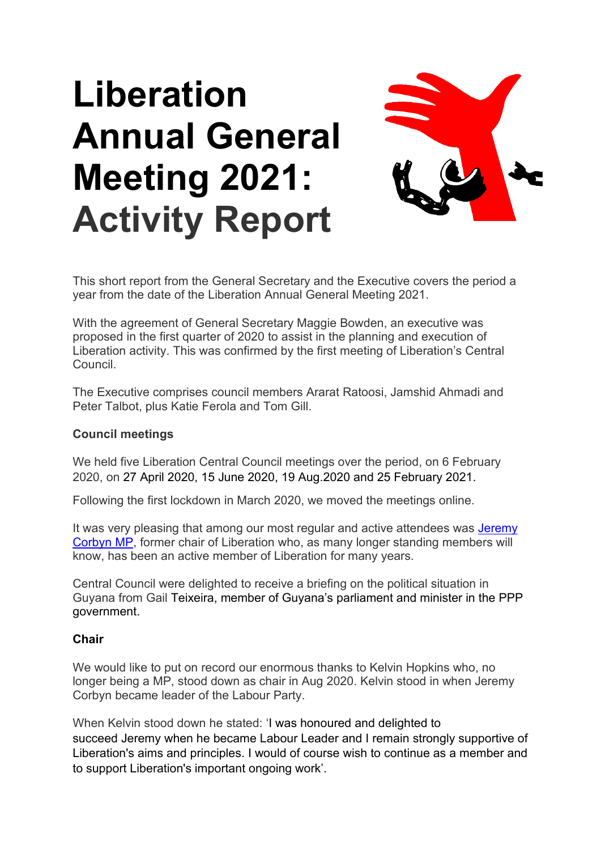# **Liberation Annual General Meeting 2021: Activity Report**



This short report from the General Secretary and the Executive covers the period a year from the date of the Liberation Annual General Meeting 2021.

With the agreement of General Secretary Maggie Bowden, an executive was proposed in the first quarter of 2020 to assist in the planning and execution of Liberation activity. This was confirmed by the first meeting of Liberation's Central Council.

The Executive comprises council members Ararat Ratoosi, Jamshid Ahmadi and Peter Talbot, plus Katie Ferola and Tom Gill.

#### **Council meetings**

We held five Liberation Central Council meetings over the period, on 6 February 2020, on 27 April 2020, 15 June 2020, 19 Aug.2020 and 25 February 2021.

Following the first lockdown in March 2020, we moved the meetings online.

It was very pleasing that among our most regular and active attendees was Jeremy [Corbyn MP,](https://youtu.be/HyD6UZD31Ow) former chair of Liberation who, as many longer standing members will know, has been an active member of Liberation for many years.

Central Council were delighted to receive a briefing on the political situation in Guyana from Gail Teixeira, member of Guyana's parliament and minister in the PPP government.

#### **Chair**

We would like to put on record our enormous thanks to Kelvin Hopkins who, no longer being a MP, stood down as chair in Aug 2020. Kelvin stood in when Jeremy Corbyn became leader of the Labour Party.

When Kelvin stood down he stated: 'I was honoured and delighted to succeed Jeremy when he became Labour Leader and I remain strongly supportive of Liberation's aims and principles. I would of course wish to continue as a member and to support Liberation's important ongoing work'.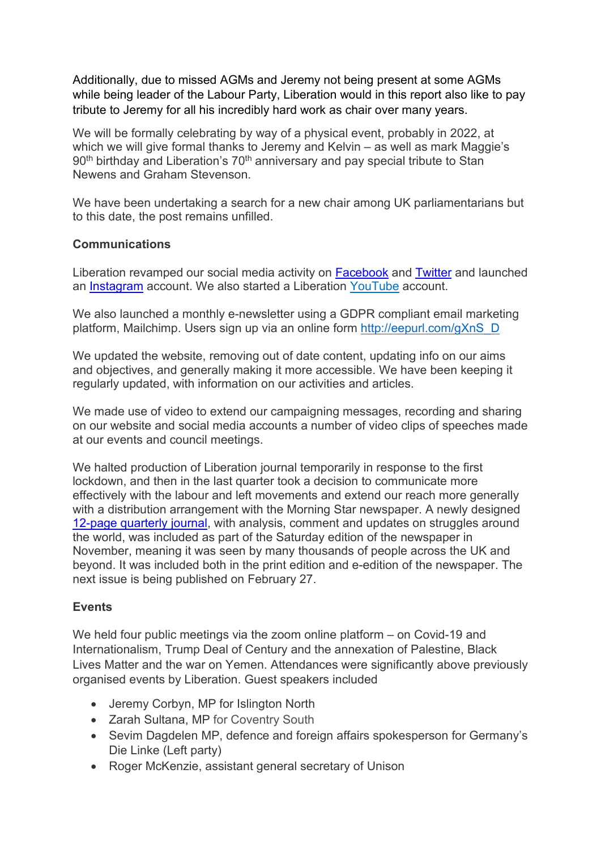Additionally, due to missed AGMs and Jeremy not being present at some AGMs while being leader of the Labour Party, Liberation would in this report also like to pay tribute to Jeremy for all his incredibly hard work as chair over many years.

We will be formally celebrating by way of a physical event, probably in 2022, at which we will give formal thanks to Jeremy and Kelvin – as well as mark Maggie's 90<sup>th</sup> birthday and Liberation's 70<sup>th</sup> anniversary and pay special tribute to Stan Newens and Graham Stevenson.

We have been undertaking a search for a new chair among UK parliamentarians but to this date, the post remains unfilled.

#### **Communications**

Liberation revamped our social media activity on [Facebook](https://www.facebook.com/liberationorg) and [Twitter](https://twitter.com/LiberationorgUK) and launched an [Instagram](https://www.instagram.com/liberationorguk/) account. We also started a Liberation [YouTube](https://www.youtube.com/channel/UCOqNtlt_rqOI7c0Gtmw2yvw) account.

We also launched a monthly e-newsletter using a GDPR compliant email marketing platform, Mailchimp. Users sign up via an online form [http://eepurl.com/gXnS\\_D](http://eepurl.com/gXnS_D)

We updated the website, removing out of date content, updating info on our aims and objectives, and generally making it more accessible. We have been keeping it regularly updated, with information on our activities and articles.

We made use of video to extend our campaigning messages, recording and sharing on our website and social media accounts a number of video clips of speeches made at our events and council meetings.

We halted production of Liberation journal temporarily in response to the first lockdown, and then in the last quarter took a decision to communicate more effectively with the labour and left movements and extend our reach more generally with a distribution arrangement with the Morning Star newspaper. A newly designed [12-page quarterly journal,](https://liberationorg.co.uk/journal-2/) with analysis, comment and updates on struggles around the world, was included as part of the Saturday edition of the newspaper in November, meaning it was seen by many thousands of people across the UK and beyond. It was included both in the print edition and e-edition of the newspaper. The next issue is being published on February 27.

## **Events**

We held four public meetings via the zoom online platform – on Covid-19 and Internationalism, Trump Deal of Century and the annexation of Palestine, Black Lives Matter and the war on Yemen. Attendances were significantly above previously organised events by Liberation. Guest speakers included

- Jeremy Corbyn, MP for Islington North
- Zarah Sultana, MP for Coventry South
- Sevim Dagdelen MP, defence and foreign affairs spokesperson for Germany's Die Linke (Left party)
- Roger McKenzie, assistant general secretary of Unison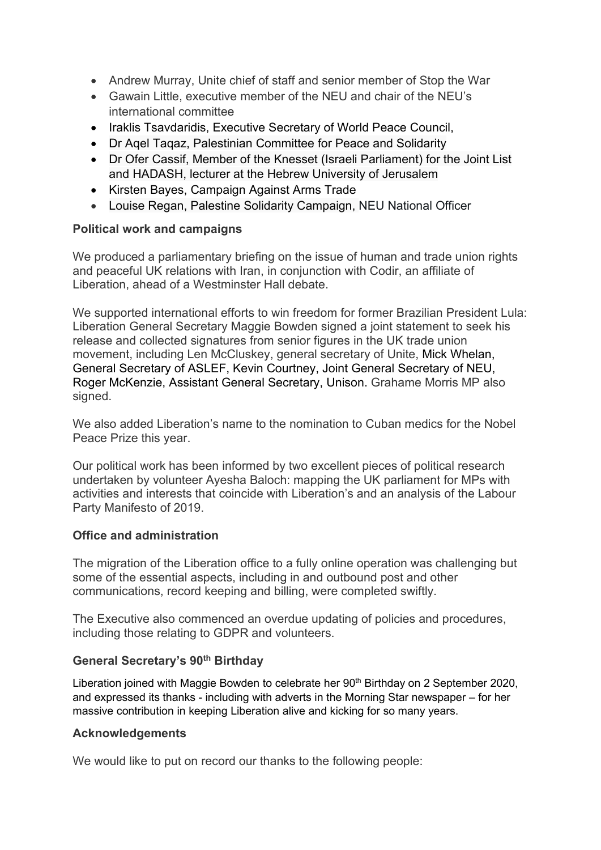- Andrew Murray, Unite chief of staff and senior member of Stop the War
- Gawain Little, executive member of the NEU and chair of the NEU's international committee
- Iraklis Tsavdaridis, Executive Secretary of World Peace Council,
- Dr Aqel Taqaz, Palestinian Committee for Peace and Solidarity
- Dr Ofer Cassif, Member of the Knesset (Israeli Parliament) for the Joint List and HADASH, lecturer at the Hebrew University of Jerusalem
- Kirsten Bayes, Campaign Against Arms Trade
- Louise Regan, Palestine Solidarity Campaign, NEU National Officer

## **Political work and campaigns**

We produced a parliamentary briefing on the issue of human and trade union rights and peaceful UK relations with Iran, in conjunction with Codir, an affiliate of Liberation, ahead of a Westminster Hall debate.

We supported international efforts to win freedom for former Brazilian President Lula: Liberation General Secretary Maggie Bowden signed a joint statement to seek his release and collected signatures from senior figures in the UK trade union movement, including Len McCluskey, general secretary of Unite, Mick Whelan, General Secretary of ASLEF, Kevin Courtney, Joint General Secretary of NEU, Roger McKenzie, Assistant General Secretary, Unison. Grahame Morris MP also signed.

We also added Liberation's name to the nomination to Cuban medics for the Nobel Peace Prize this year.

Our political work has been informed by two excellent pieces of political research undertaken by volunteer Ayesha Baloch: mapping the UK parliament for MPs with activities and interests that coincide with Liberation's and an analysis of the Labour Party Manifesto of 2019.

## **Office and administration**

The migration of the Liberation office to a fully online operation was challenging but some of the essential aspects, including in and outbound post and other communications, record keeping and billing, were completed swiftly.

The Executive also commenced an overdue updating of policies and procedures, including those relating to GDPR and volunteers.

## **General Secretary's 90th Birthday**

Liberation joined with Maggie Bowden to celebrate her 90<sup>th</sup> Birthday on 2 September 2020, and expressed its thanks - including with adverts in the Morning Star newspaper – for her massive contribution in keeping Liberation alive and kicking for so many years.

## **Acknowledgements**

We would like to put on record our thanks to the following people: